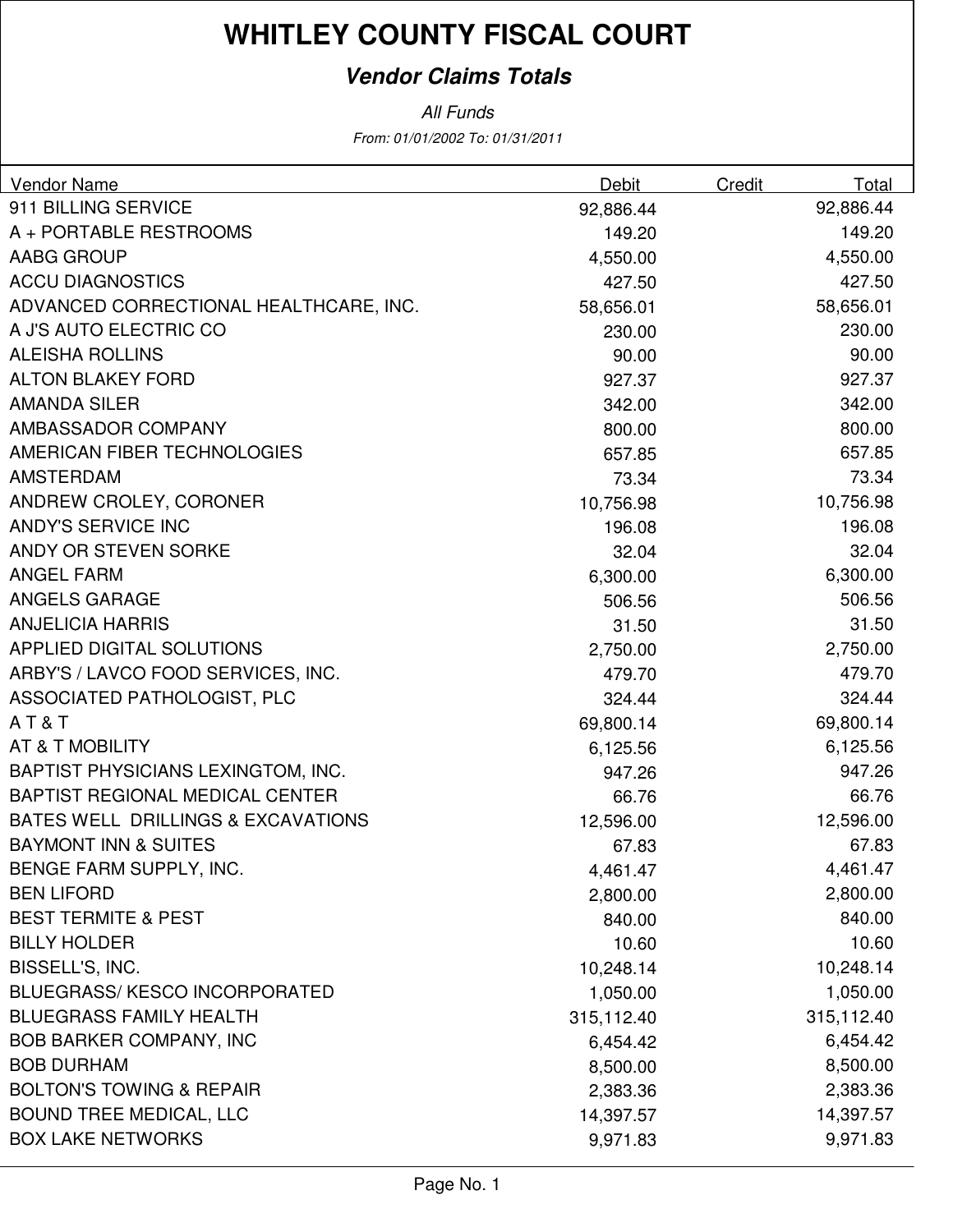### **Vendor Claims Totals**

| <b>Vendor Name</b>                     | Debit      | Credit | Total      |
|----------------------------------------|------------|--------|------------|
| 911 BILLING SERVICE                    | 92,886.44  |        | 92,886.44  |
| A + PORTABLE RESTROOMS                 | 149.20     |        | 149.20     |
| AABG GROUP                             | 4,550.00   |        | 4,550.00   |
| <b>ACCU DIAGNOSTICS</b>                | 427.50     |        | 427.50     |
| ADVANCED CORRECTIONAL HEALTHCARE, INC. | 58,656.01  |        | 58,656.01  |
| A J'S AUTO ELECTRIC CO                 | 230.00     |        | 230.00     |
| <b>ALEISHA ROLLINS</b>                 | 90.00      |        | 90.00      |
| <b>ALTON BLAKEY FORD</b>               | 927.37     |        | 927.37     |
| <b>AMANDA SILER</b>                    | 342.00     |        | 342.00     |
| AMBASSADOR COMPANY                     | 800.00     |        | 800.00     |
| AMERICAN FIBER TECHNOLOGIES            | 657.85     |        | 657.85     |
| <b>AMSTERDAM</b>                       | 73.34      |        | 73.34      |
| ANDREW CROLEY, CORONER                 | 10,756.98  |        | 10,756.98  |
| ANDY'S SERVICE INC                     | 196.08     |        | 196.08     |
| ANDY OR STEVEN SORKE                   | 32.04      |        | 32.04      |
| <b>ANGEL FARM</b>                      | 6,300.00   |        | 6,300.00   |
| <b>ANGELS GARAGE</b>                   | 506.56     |        | 506.56     |
| <b>ANJELICIA HARRIS</b>                | 31.50      |        | 31.50      |
| <b>APPLIED DIGITAL SOLUTIONS</b>       | 2,750.00   |        | 2,750.00   |
| ARBY'S / LAVCO FOOD SERVICES, INC.     | 479.70     |        | 479.70     |
| ASSOCIATED PATHOLOGIST, PLC            | 324.44     |        | 324.44     |
| AT&T                                   | 69,800.14  |        | 69,800.14  |
| AT & T MOBILITY                        | 6,125.56   |        | 6,125.56   |
| BAPTIST PHYSICIANS LEXINGTOM, INC.     | 947.26     |        | 947.26     |
| BAPTIST REGIONAL MEDICAL CENTER        | 66.76      |        | 66.76      |
| BATES WELL DRILLINGS & EXCAVATIONS     | 12,596.00  |        | 12,596.00  |
| <b>BAYMONT INN &amp; SUITES</b>        | 67.83      |        | 67.83      |
| BENGE FARM SUPPLY, INC.                | 4,461.47   |        | 4,461.47   |
| <b>BEN LIFORD</b>                      | 2,800.00   |        | 2,800.00   |
| <b>BEST TERMITE &amp; PEST</b>         | 840.00     |        | 840.00     |
| <b>BILLY HOLDER</b>                    | 10.60      |        | 10.60      |
| BISSELL'S, INC.                        | 10,248.14  |        | 10,248.14  |
| <b>BLUEGRASS/ KESCO INCORPORATED</b>   | 1,050.00   |        | 1,050.00   |
| <b>BLUEGRASS FAMILY HEALTH</b>         | 315,112.40 |        | 315,112.40 |
| <b>BOB BARKER COMPANY, INC</b>         | 6,454.42   |        | 6,454.42   |
| <b>BOB DURHAM</b>                      | 8,500.00   |        | 8,500.00   |
| <b>BOLTON'S TOWING &amp; REPAIR</b>    | 2,383.36   |        | 2,383.36   |
| <b>BOUND TREE MEDICAL, LLC</b>         | 14,397.57  |        | 14,397.57  |
| <b>BOX LAKE NETWORKS</b>               | 9,971.83   |        | 9,971.83   |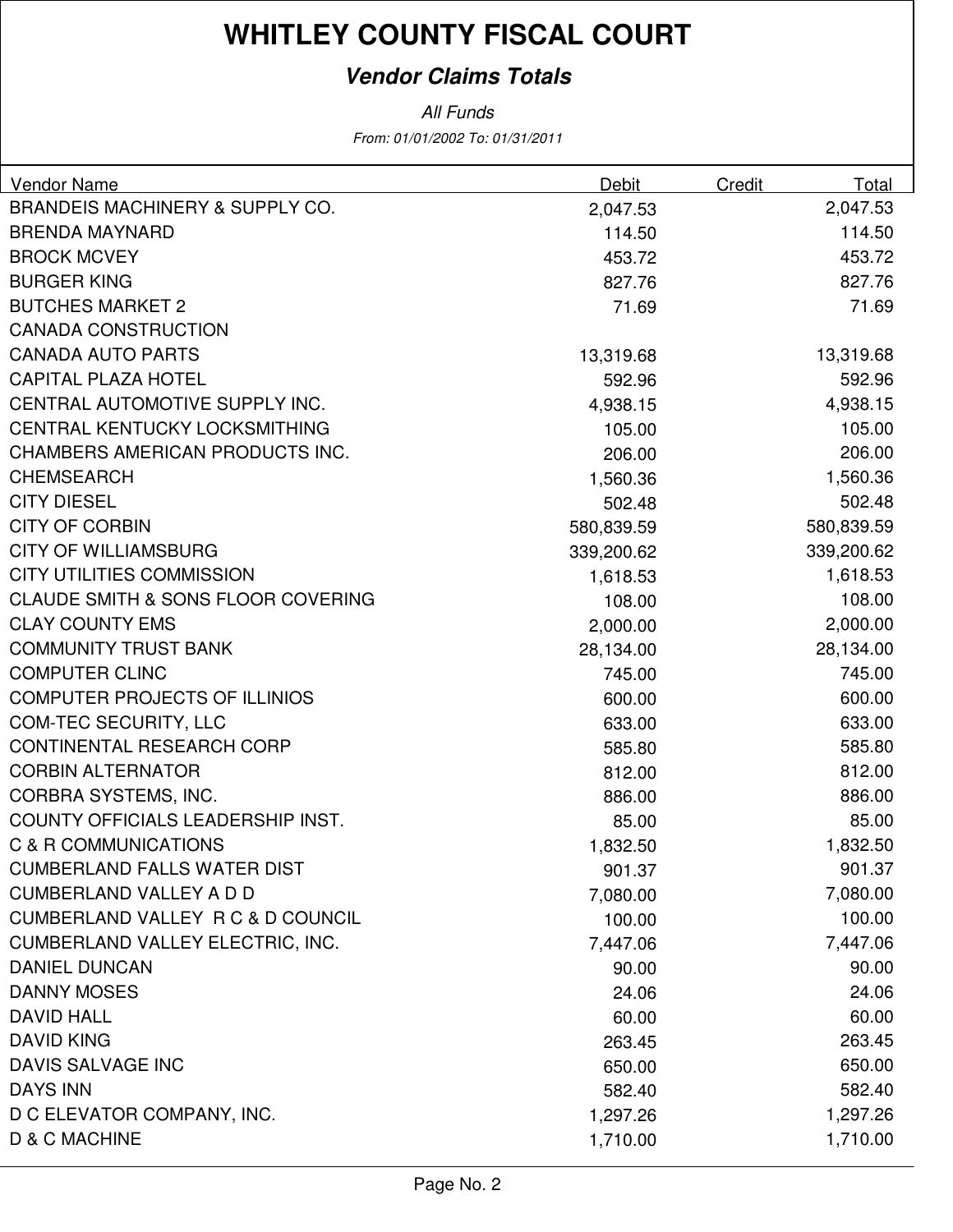### **Vendor Claims Totals**

| Vendor Name                                   | Debit      | Credit | Total      |
|-----------------------------------------------|------------|--------|------------|
| <b>BRANDEIS MACHINERY &amp; SUPPLY CO.</b>    | 2,047.53   |        | 2,047.53   |
| <b>BRENDA MAYNARD</b>                         | 114.50     |        | 114.50     |
| <b>BROCK MCVEY</b>                            | 453.72     |        | 453.72     |
| <b>BURGER KING</b>                            | 827.76     |        | 827.76     |
| <b>BUTCHES MARKET 2</b>                       | 71.69      |        | 71.69      |
| <b>CANADA CONSTRUCTION</b>                    |            |        |            |
| <b>CANADA AUTO PARTS</b>                      | 13,319.68  |        | 13,319.68  |
| <b>CAPITAL PLAZA HOTEL</b>                    | 592.96     |        | 592.96     |
| CENTRAL AUTOMOTIVE SUPPLY INC.                | 4,938.15   |        | 4,938.15   |
| CENTRAL KENTUCKY LOCKSMITHING                 | 105.00     |        | 105.00     |
| CHAMBERS AMERICAN PRODUCTS INC.               | 206.00     |        | 206.00     |
| <b>CHEMSEARCH</b>                             | 1,560.36   |        | 1,560.36   |
| <b>CITY DIESEL</b>                            | 502.48     |        | 502.48     |
| <b>CITY OF CORBIN</b>                         | 580,839.59 |        | 580,839.59 |
| <b>CITY OF WILLIAMSBURG</b>                   | 339,200.62 |        | 339,200.62 |
| <b>CITY UTILITIES COMMISSION</b>              | 1,618.53   |        | 1,618.53   |
| <b>CLAUDE SMITH &amp; SONS FLOOR COVERING</b> | 108.00     |        | 108.00     |
| <b>CLAY COUNTY EMS</b>                        | 2,000.00   |        | 2,000.00   |
| <b>COMMUNITY TRUST BANK</b>                   | 28,134.00  |        | 28,134.00  |
| <b>COMPUTER CLINC</b>                         | 745.00     |        | 745.00     |
| <b>COMPUTER PROJECTS OF ILLINIOS</b>          | 600.00     |        | 600.00     |
| <b>COM-TEC SECURITY, LLC</b>                  | 633.00     |        | 633.00     |
| <b>CONTINENTAL RESEARCH CORP</b>              | 585.80     |        | 585.80     |
| <b>CORBIN ALTERNATOR</b>                      | 812.00     |        | 812.00     |
| CORBRA SYSTEMS, INC.                          | 886.00     |        | 886.00     |
| COUNTY OFFICIALS LEADERSHIP INST.             | 85.00      |        | 85.00      |
| C & R COMMUNICATIONS                          | 1,832.50   |        | 1,832.50   |
| <b>CUMBERLAND FALLS WATER DIST</b>            | 901.37     |        | 901.37     |
| <b>CUMBERLAND VALLEY A D D</b>                | 7,080.00   |        | 7,080.00   |
| CUMBERLAND VALLEY R C & D COUNCIL             | 100.00     |        | 100.00     |
| <b>CUMBERLAND VALLEY ELECTRIC, INC.</b>       | 7,447.06   |        | 7,447.06   |
| <b>DANIEL DUNCAN</b>                          | 90.00      |        | 90.00      |
| <b>DANNY MOSES</b>                            | 24.06      |        | 24.06      |
| <b>DAVID HALL</b>                             | 60.00      |        | 60.00      |
| <b>DAVID KING</b>                             | 263.45     |        | 263.45     |
| DAVIS SALVAGE INC                             | 650.00     |        | 650.00     |
| <b>DAYS INN</b>                               | 582.40     |        | 582.40     |
| D C ELEVATOR COMPANY, INC.                    | 1,297.26   |        | 1,297.26   |
| D & C MACHINE                                 | 1,710.00   |        | 1,710.00   |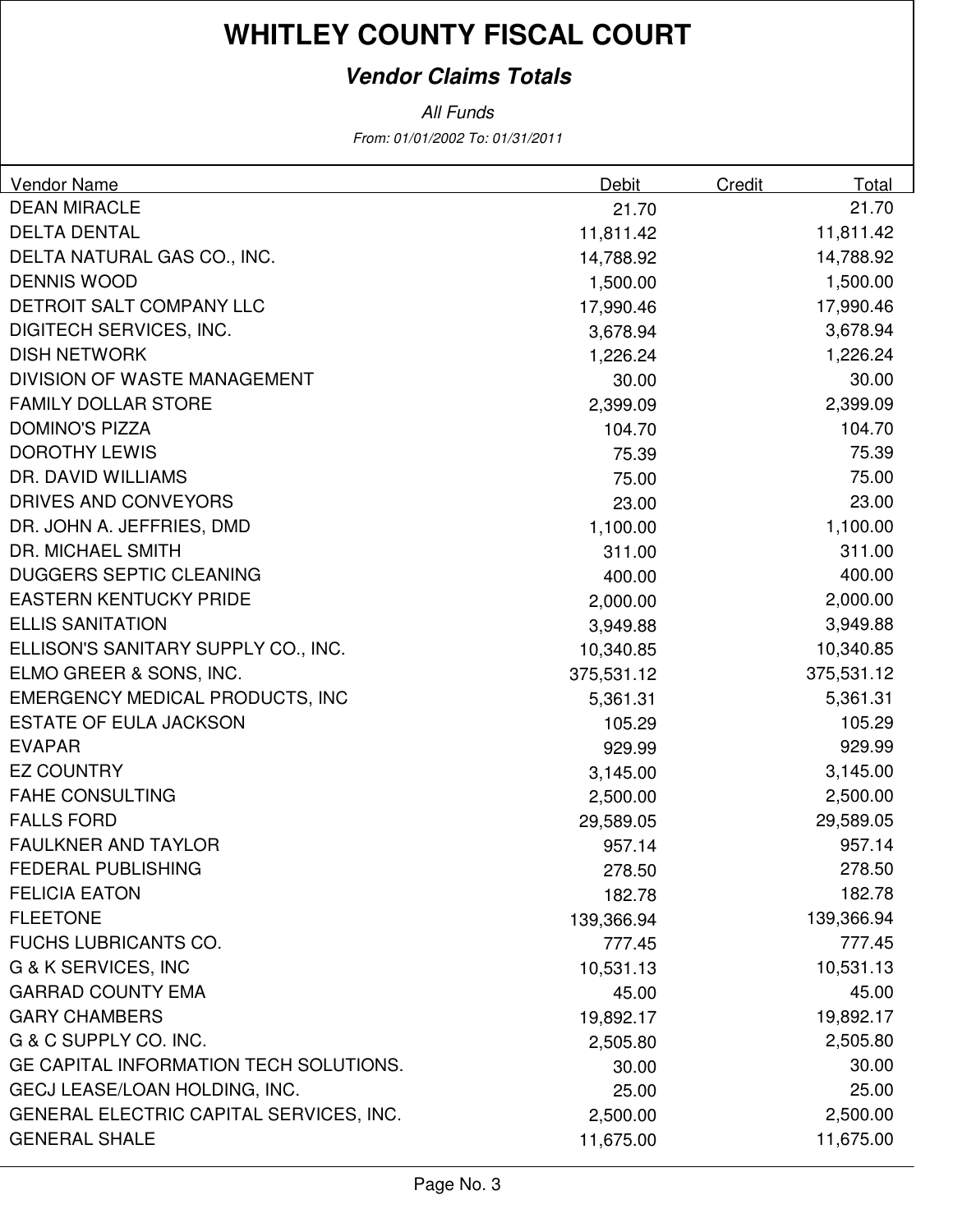### **Vendor Claims Totals**

| <b>Vendor Name</b>                      | Debit      | <b>Credit</b> | Total      |
|-----------------------------------------|------------|---------------|------------|
| <b>DEAN MIRACLE</b>                     | 21.70      |               | 21.70      |
| <b>DELTA DENTAL</b>                     | 11,811.42  |               | 11,811.42  |
| DELTA NATURAL GAS CO., INC.             | 14,788.92  |               | 14,788.92  |
| <b>DENNIS WOOD</b>                      | 1,500.00   |               | 1,500.00   |
| DETROIT SALT COMPANY LLC                | 17,990.46  |               | 17,990.46  |
| DIGITECH SERVICES, INC.                 | 3,678.94   |               | 3,678.94   |
| <b>DISH NETWORK</b>                     | 1,226.24   |               | 1,226.24   |
| <b>DIVISION OF WASTE MANAGEMENT</b>     | 30.00      |               | 30.00      |
| <b>FAMILY DOLLAR STORE</b>              | 2,399.09   |               | 2,399.09   |
| <b>DOMINO'S PIZZA</b>                   | 104.70     |               | 104.70     |
| <b>DOROTHY LEWIS</b>                    | 75.39      |               | 75.39      |
| DR. DAVID WILLIAMS                      | 75.00      |               | 75.00      |
| DRIVES AND CONVEYORS                    | 23.00      |               | 23.00      |
| DR. JOHN A. JEFFRIES, DMD               | 1,100.00   |               | 1,100.00   |
| <b>DR. MICHAEL SMITH</b>                | 311.00     |               | 311.00     |
| <b>DUGGERS SEPTIC CLEANING</b>          | 400.00     |               | 400.00     |
| <b>EASTERN KENTUCKY PRIDE</b>           | 2,000.00   |               | 2,000.00   |
| <b>ELLIS SANITATION</b>                 | 3,949.88   |               | 3,949.88   |
| ELLISON'S SANITARY SUPPLY CO., INC.     | 10,340.85  |               | 10,340.85  |
| ELMO GREER & SONS, INC.                 | 375,531.12 |               | 375,531.12 |
| <b>EMERGENCY MEDICAL PRODUCTS, INC</b>  | 5,361.31   |               | 5,361.31   |
| <b>ESTATE OF EULA JACKSON</b>           | 105.29     |               | 105.29     |
| <b>EVAPAR</b>                           | 929.99     |               | 929.99     |
| <b>EZ COUNTRY</b>                       | 3,145.00   |               | 3,145.00   |
| <b>FAHE CONSULTING</b>                  | 2,500.00   |               | 2,500.00   |
| <b>FALLS FORD</b>                       | 29,589.05  |               | 29,589.05  |
| <b>FAULKNER AND TAYLOR</b>              | 957.14     |               | 957.14     |
| <b>FEDERAL PUBLISHING</b>               | 278.50     |               | 278.50     |
| <b>FELICIA EATON</b>                    | 182.78     |               | 182.78     |
| <b>FLEETONE</b>                         | 139,366.94 |               | 139,366.94 |
| <b>FUCHS LUBRICANTS CO.</b>             | 777.45     |               | 777.45     |
| G & K SERVICES, INC                     | 10,531.13  |               | 10,531.13  |
| <b>GARRAD COUNTY EMA</b>                | 45.00      |               | 45.00      |
| <b>GARY CHAMBERS</b>                    | 19,892.17  |               | 19,892.17  |
| G & C SUPPLY CO. INC.                   | 2,505.80   |               | 2,505.80   |
| GE CAPITAL INFORMATION TECH SOLUTIONS.  | 30.00      |               | 30.00      |
| GECJ LEASE/LOAN HOLDING, INC.           | 25.00      |               | 25.00      |
| GENERAL ELECTRIC CAPITAL SERVICES, INC. | 2,500.00   |               | 2,500.00   |
| <b>GENERAL SHALE</b>                    | 11,675.00  |               | 11,675.00  |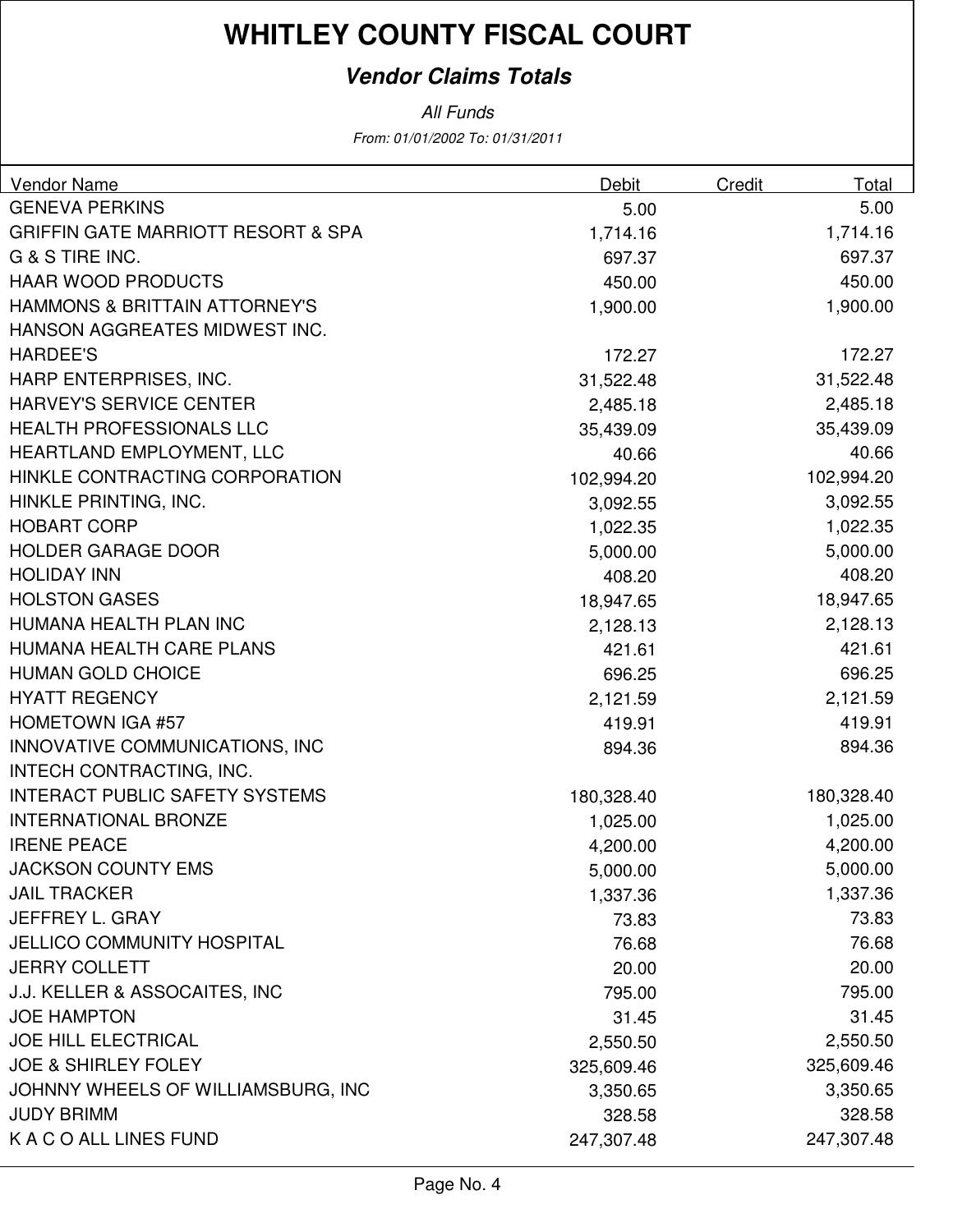### **Vendor Claims Totals**

All Funds

From: 01/01/2002 To: 01/31/2011

| Vendor Name                                   | Debit      | Credit | Total      |
|-----------------------------------------------|------------|--------|------------|
| <b>GENEVA PERKINS</b>                         | 5.00       |        | 5.00       |
| <b>GRIFFIN GATE MARRIOTT RESORT &amp; SPA</b> | 1,714.16   |        | 1,714.16   |
| G & S TIRE INC.                               | 697.37     |        | 697.37     |
| <b>HAAR WOOD PRODUCTS</b>                     | 450.00     |        | 450.00     |
| <b>HAMMONS &amp; BRITTAIN ATTORNEY'S</b>      | 1,900.00   |        | 1,900.00   |
| HANSON AGGREATES MIDWEST INC.                 |            |        |            |
| <b>HARDEE'S</b>                               | 172.27     |        | 172.27     |
| HARP ENTERPRISES, INC.                        | 31,522.48  |        | 31,522.48  |
| <b>HARVEY'S SERVICE CENTER</b>                | 2,485.18   |        | 2,485.18   |
| <b>HEALTH PROFESSIONALS LLC</b>               | 35,439.09  |        | 35,439.09  |
| HEARTLAND EMPLOYMENT, LLC                     | 40.66      |        | 40.66      |
| HINKLE CONTRACTING CORPORATION                | 102,994.20 |        | 102,994.20 |
| HINKLE PRINTING, INC.                         | 3,092.55   |        | 3,092.55   |
| <b>HOBART CORP</b>                            | 1,022.35   |        | 1,022.35   |
| <b>HOLDER GARAGE DOOR</b>                     | 5,000.00   |        | 5,000.00   |
| <b>HOLIDAY INN</b>                            | 408.20     |        | 408.20     |
| <b>HOLSTON GASES</b>                          | 18,947.65  |        | 18,947.65  |
| HUMANA HEALTH PLAN INC                        | 2,128.13   |        | 2,128.13   |
| HUMANA HEALTH CARE PLANS                      | 421.61     |        | 421.61     |
| <b>HUMAN GOLD CHOICE</b>                      | 696.25     |        | 696.25     |
| <b>HYATT REGENCY</b>                          | 2,121.59   |        | 2,121.59   |
| <b>HOMETOWN IGA #57</b>                       | 419.91     |        | 419.91     |
| INNOVATIVE COMMUNICATIONS, INC                | 894.36     |        | 894.36     |
| INTECH CONTRACTING, INC.                      |            |        |            |
| <b>INTERACT PUBLIC SAFETY SYSTEMS</b>         | 180,328.40 |        | 180,328.40 |
| <b>INTERNATIONAL BRONZE</b>                   | 1,025.00   |        | 1,025.00   |
| <b>IRENE PEACE</b>                            | 4,200.00   |        | 4,200.00   |
| <b>JACKSON COUNTY EMS</b>                     | 5,000.00   |        | 5,000.00   |
| <b>JAIL TRACKER</b>                           | 1,337.36   |        | 1,337.36   |
| JEFFREY L. GRAY                               | 73.83      |        | 73.83      |
| <b>JELLICO COMMUNITY HOSPITAL</b>             | 76.68      |        | 76.68      |
| <b>JERRY COLLETT</b>                          | 20.00      |        | 20.00      |
| J.J. KELLER & ASSOCAITES, INC                 | 795.00     |        | 795.00     |
| <b>JOE HAMPTON</b>                            | 31.45      |        | 31.45      |
| <b>JOE HILL ELECTRICAL</b>                    | 2,550.50   |        | 2,550.50   |
| <b>JOE &amp; SHIRLEY FOLEY</b>                | 325,609.46 |        | 325,609.46 |
| JOHNNY WHEELS OF WILLIAMSBURG, INC            | 3,350.65   |        | 3,350.65   |
| <b>JUDY BRIMM</b>                             | 328.58     |        | 328.58     |
| K A C O ALL LINES FUND                        | 247,307.48 |        | 247,307.48 |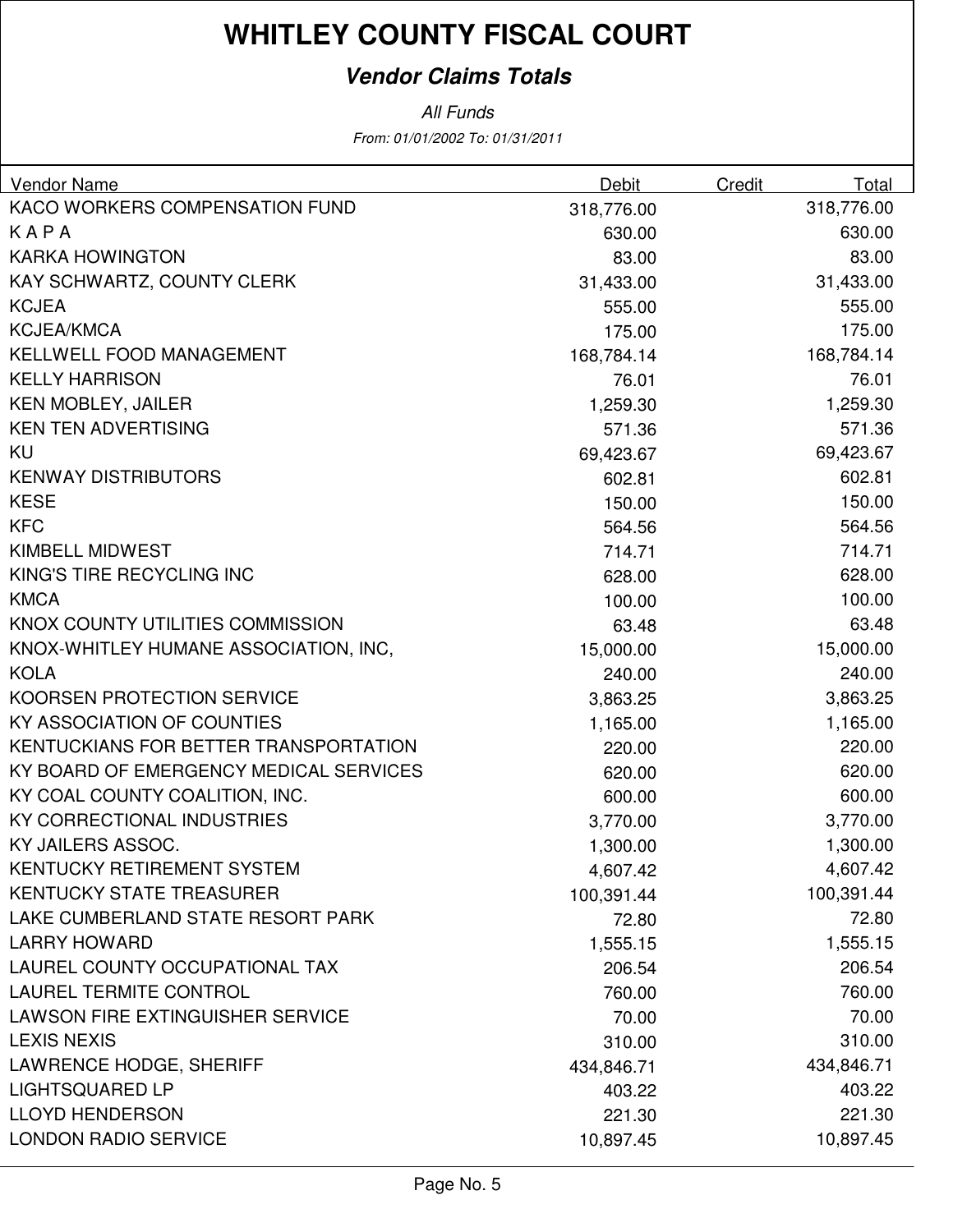### **Vendor Claims Totals**

All Funds

From: 01/01/2002 To: 01/31/2011

| <b>Vendor Name</b>                      | <b>Debit</b> | Credit | Total      |
|-----------------------------------------|--------------|--------|------------|
| KACO WORKERS COMPENSATION FUND          | 318,776.00   |        | 318,776.00 |
| KAPA                                    | 630.00       |        | 630.00     |
| <b>KARKA HOWINGTON</b>                  | 83.00        |        | 83.00      |
| KAY SCHWARTZ, COUNTY CLERK              | 31,433.00    |        | 31,433.00  |
| <b>KCJEA</b>                            | 555.00       |        | 555.00     |
| <b>KCJEA/KMCA</b>                       | 175.00       |        | 175.00     |
| KELLWELL FOOD MANAGEMENT                | 168,784.14   |        | 168,784.14 |
| <b>KELLY HARRISON</b>                   | 76.01        |        | 76.01      |
| <b>KEN MOBLEY, JAILER</b>               | 1,259.30     |        | 1,259.30   |
| <b>KEN TEN ADVERTISING</b>              | 571.36       |        | 571.36     |
| KU                                      | 69,423.67    |        | 69,423.67  |
| <b>KENWAY DISTRIBUTORS</b>              | 602.81       |        | 602.81     |
| <b>KESE</b>                             | 150.00       |        | 150.00     |
| <b>KFC</b>                              | 564.56       |        | 564.56     |
| <b>KIMBELL MIDWEST</b>                  | 714.71       |        | 714.71     |
| KING'S TIRE RECYCLING INC               | 628.00       |        | 628.00     |
| <b>KMCA</b>                             | 100.00       |        | 100.00     |
| KNOX COUNTY UTILITIES COMMISSION        | 63.48        |        | 63.48      |
| KNOX-WHITLEY HUMANE ASSOCIATION, INC,   | 15,000.00    |        | 15,000.00  |
| <b>KOLA</b>                             | 240.00       |        | 240.00     |
| KOORSEN PROTECTION SERVICE              | 3,863.25     |        | 3,863.25   |
| KY ASSOCIATION OF COUNTIES              | 1,165.00     |        | 1,165.00   |
| KENTUCKIANS FOR BETTER TRANSPORTATION   | 220.00       |        | 220.00     |
| KY BOARD OF EMERGENCY MEDICAL SERVICES  | 620.00       |        | 620.00     |
| KY COAL COUNTY COALITION, INC.          | 600.00       |        | 600.00     |
| KY CORRECTIONAL INDUSTRIES              | 3,770.00     |        | 3,770.00   |
| KY JAILERS ASSOC.                       | 1,300.00     |        | 1,300.00   |
| <b>KENTUCKY RETIREMENT SYSTEM</b>       | 4,607.42     |        | 4,607.42   |
| <b>KENTUCKY STATE TREASURER</b>         | 100,391.44   |        | 100,391.44 |
| LAKE CUMBERLAND STATE RESORT PARK       | 72.80        |        | 72.80      |
| <b>LARRY HOWARD</b>                     | 1,555.15     |        | 1,555.15   |
| LAUREL COUNTY OCCUPATIONAL TAX          | 206.54       |        | 206.54     |
| <b>LAUREL TERMITE CONTROL</b>           | 760.00       |        | 760.00     |
| <b>LAWSON FIRE EXTINGUISHER SERVICE</b> | 70.00        |        | 70.00      |
| <b>LEXIS NEXIS</b>                      | 310.00       |        | 310.00     |
| <b>LAWRENCE HODGE, SHERIFF</b>          | 434,846.71   |        | 434,846.71 |
| <b>LIGHTSQUARED LP</b>                  | 403.22       |        | 403.22     |
| <b>LLOYD HENDERSON</b>                  | 221.30       |        | 221.30     |
| <b>LONDON RADIO SERVICE</b>             | 10,897.45    |        | 10,897.45  |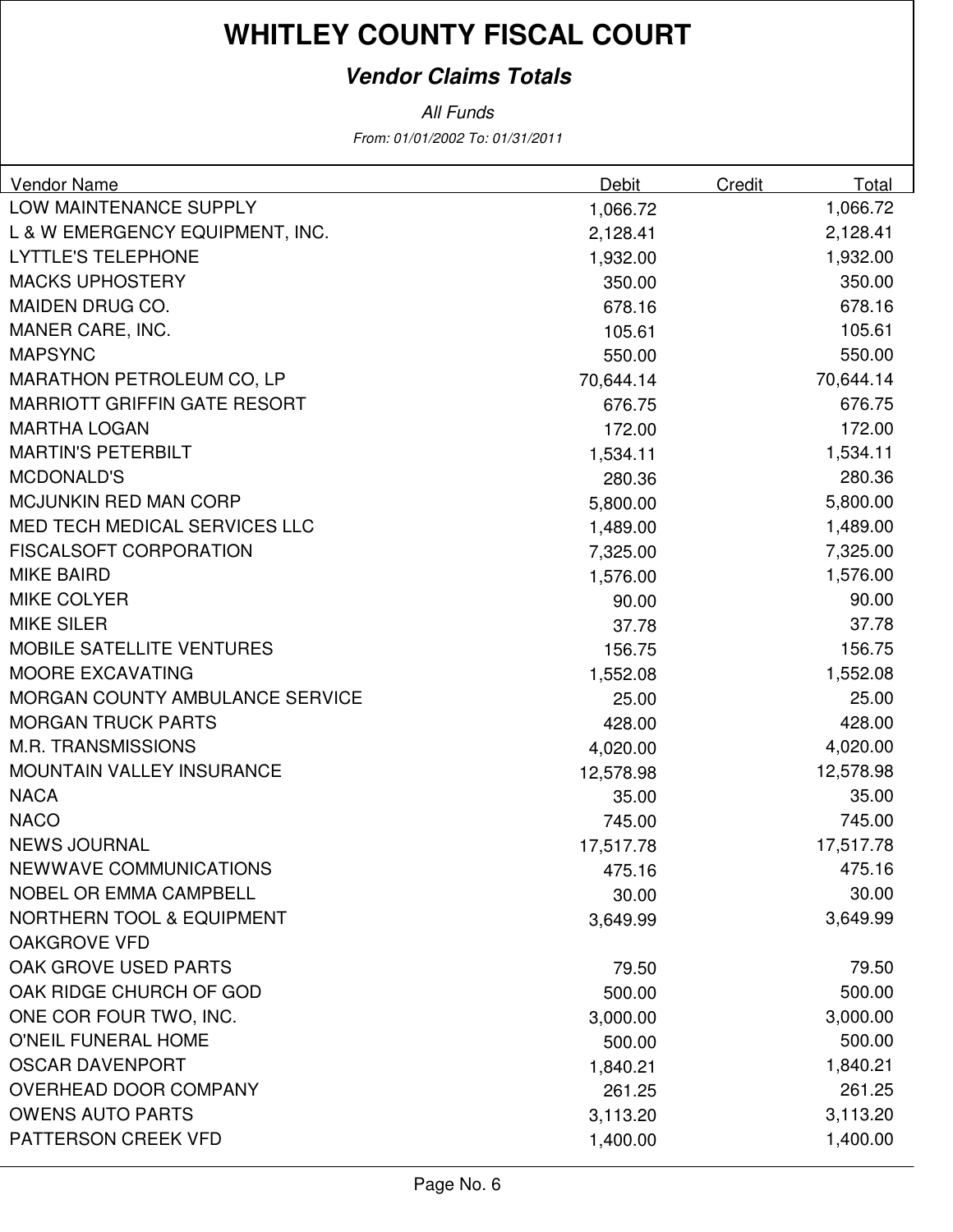### **Vendor Claims Totals**

| LOW MAINTENANCE SUPPLY<br>1,066.72<br>1,066.72<br>L & W EMERGENCY EQUIPMENT, INC.<br>2,128.41<br>2,128.41<br><b>LYTTLE'S TELEPHONE</b><br>1,932.00<br>1,932.00<br><b>MACKS UPHOSTERY</b><br>350.00<br>350.00<br>MAIDEN DRUG CO.<br>678.16<br>678.16<br>MANER CARE, INC.<br>105.61<br>105.61<br><b>MAPSYNC</b><br>550.00<br>550.00<br><b>MARATHON PETROLEUM CO, LP</b><br>70,644.14<br>70,644.14<br><b>MARRIOTT GRIFFIN GATE RESORT</b><br>676.75<br>676.75 | Vendor Name         | <b>Debit</b> | Credit | Total  |
|------------------------------------------------------------------------------------------------------------------------------------------------------------------------------------------------------------------------------------------------------------------------------------------------------------------------------------------------------------------------------------------------------------------------------------------------------------|---------------------|--------------|--------|--------|
|                                                                                                                                                                                                                                                                                                                                                                                                                                                            |                     |              |        |        |
|                                                                                                                                                                                                                                                                                                                                                                                                                                                            |                     |              |        |        |
|                                                                                                                                                                                                                                                                                                                                                                                                                                                            |                     |              |        |        |
|                                                                                                                                                                                                                                                                                                                                                                                                                                                            |                     |              |        |        |
|                                                                                                                                                                                                                                                                                                                                                                                                                                                            |                     |              |        |        |
|                                                                                                                                                                                                                                                                                                                                                                                                                                                            |                     |              |        |        |
|                                                                                                                                                                                                                                                                                                                                                                                                                                                            |                     |              |        |        |
|                                                                                                                                                                                                                                                                                                                                                                                                                                                            |                     |              |        |        |
|                                                                                                                                                                                                                                                                                                                                                                                                                                                            |                     |              |        |        |
|                                                                                                                                                                                                                                                                                                                                                                                                                                                            | <b>MARTHA LOGAN</b> | 172.00       |        | 172.00 |
| <b>MARTIN'S PETERBILT</b><br>1,534.11<br>1,534.11                                                                                                                                                                                                                                                                                                                                                                                                          |                     |              |        |        |
| <b>MCDONALD'S</b><br>280.36<br>280.36                                                                                                                                                                                                                                                                                                                                                                                                                      |                     |              |        |        |
| <b>MCJUNKIN RED MAN CORP</b><br>5,800.00<br>5,800.00                                                                                                                                                                                                                                                                                                                                                                                                       |                     |              |        |        |
| MED TECH MEDICAL SERVICES LLC<br>1,489.00<br>1,489.00                                                                                                                                                                                                                                                                                                                                                                                                      |                     |              |        |        |
| <b>FISCALSOFT CORPORATION</b><br>7,325.00<br>7,325.00                                                                                                                                                                                                                                                                                                                                                                                                      |                     |              |        |        |
| <b>MIKE BAIRD</b><br>1,576.00<br>1,576.00                                                                                                                                                                                                                                                                                                                                                                                                                  |                     |              |        |        |
| <b>MIKE COLYER</b><br>90.00<br>90.00                                                                                                                                                                                                                                                                                                                                                                                                                       |                     |              |        |        |
| <b>MIKE SILER</b><br>37.78<br>37.78                                                                                                                                                                                                                                                                                                                                                                                                                        |                     |              |        |        |
| <b>MOBILE SATELLITE VENTURES</b><br>156.75<br>156.75                                                                                                                                                                                                                                                                                                                                                                                                       |                     |              |        |        |
| <b>MOORE EXCAVATING</b><br>1,552.08<br>1,552.08                                                                                                                                                                                                                                                                                                                                                                                                            |                     |              |        |        |
| <b>MORGAN COUNTY AMBULANCE SERVICE</b><br>25.00<br>25.00                                                                                                                                                                                                                                                                                                                                                                                                   |                     |              |        |        |
| <b>MORGAN TRUCK PARTS</b><br>428.00<br>428.00                                                                                                                                                                                                                                                                                                                                                                                                              |                     |              |        |        |
| <b>M.R. TRANSMISSIONS</b><br>4,020.00<br>4,020.00                                                                                                                                                                                                                                                                                                                                                                                                          |                     |              |        |        |
| <b>MOUNTAIN VALLEY INSURANCE</b><br>12,578.98<br>12,578.98                                                                                                                                                                                                                                                                                                                                                                                                 |                     |              |        |        |
| <b>NACA</b><br>35.00<br>35.00                                                                                                                                                                                                                                                                                                                                                                                                                              |                     |              |        |        |
| <b>NACO</b><br>745.00<br>745.00                                                                                                                                                                                                                                                                                                                                                                                                                            |                     |              |        |        |
| <b>NEWS JOURNAL</b><br>17,517.78<br>17,517.78                                                                                                                                                                                                                                                                                                                                                                                                              |                     |              |        |        |
| NEWWAVE COMMUNICATIONS<br>475.16<br>475.16                                                                                                                                                                                                                                                                                                                                                                                                                 |                     |              |        |        |
| <b>NOBEL OR EMMA CAMPBELL</b><br>30.00<br>30.00                                                                                                                                                                                                                                                                                                                                                                                                            |                     |              |        |        |
| <b>NORTHERN TOOL &amp; EQUIPMENT</b><br>3,649.99<br>3,649.99                                                                                                                                                                                                                                                                                                                                                                                               |                     |              |        |        |
| <b>OAKGROVE VFD</b>                                                                                                                                                                                                                                                                                                                                                                                                                                        |                     |              |        |        |
| OAK GROVE USED PARTS<br>79.50<br>79.50                                                                                                                                                                                                                                                                                                                                                                                                                     |                     |              |        |        |
| OAK RIDGE CHURCH OF GOD<br>500.00<br>500.00                                                                                                                                                                                                                                                                                                                                                                                                                |                     |              |        |        |
| ONE COR FOUR TWO, INC.<br>3,000.00<br>3,000.00                                                                                                                                                                                                                                                                                                                                                                                                             |                     |              |        |        |
| O'NEIL FUNERAL HOME<br>500.00<br>500.00                                                                                                                                                                                                                                                                                                                                                                                                                    |                     |              |        |        |
| <b>OSCAR DAVENPORT</b><br>1,840.21<br>1,840.21                                                                                                                                                                                                                                                                                                                                                                                                             |                     |              |        |        |
| <b>OVERHEAD DOOR COMPANY</b><br>261.25<br>261.25                                                                                                                                                                                                                                                                                                                                                                                                           |                     |              |        |        |
| <b>OWENS AUTO PARTS</b><br>3,113.20<br>3,113.20                                                                                                                                                                                                                                                                                                                                                                                                            |                     |              |        |        |
| PATTERSON CREEK VFD<br>1,400.00<br>1,400.00                                                                                                                                                                                                                                                                                                                                                                                                                |                     |              |        |        |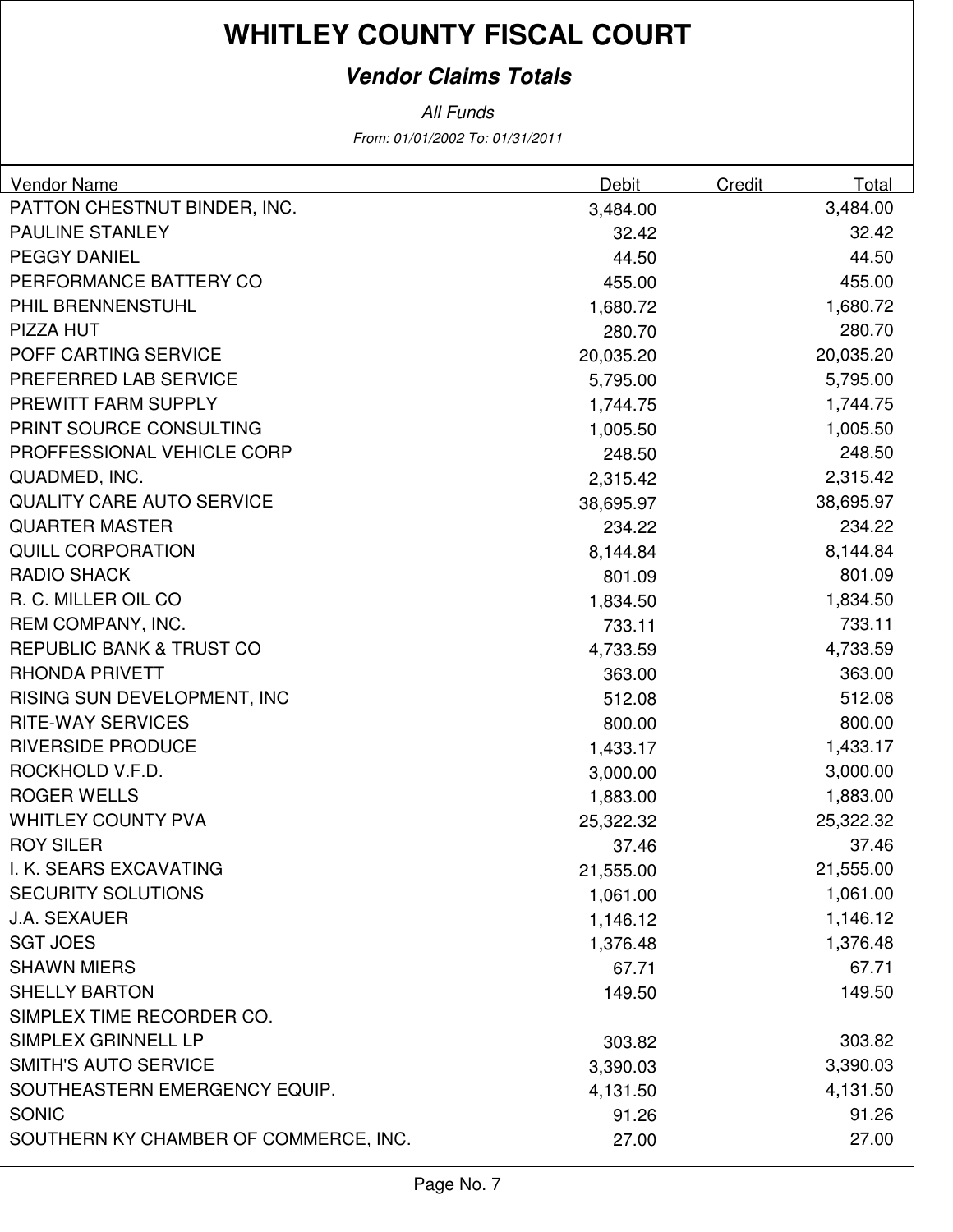### **Vendor Claims Totals**

| Vendor Name                           | <b>Debit</b> | Credit | Total     |
|---------------------------------------|--------------|--------|-----------|
| PATTON CHESTNUT BINDER, INC.          | 3,484.00     |        | 3,484.00  |
| <b>PAULINE STANLEY</b>                | 32.42        |        | 32.42     |
| <b>PEGGY DANIEL</b>                   | 44.50        |        | 44.50     |
| PERFORMANCE BATTERY CO                | 455.00       |        | 455.00    |
| PHIL BRENNENSTUHL                     | 1,680.72     |        | 1,680.72  |
| PIZZA HUT                             | 280.70       |        | 280.70    |
| POFF CARTING SERVICE                  | 20,035.20    |        | 20,035.20 |
| PREFERRED LAB SERVICE                 | 5,795.00     |        | 5,795.00  |
| PREWITT FARM SUPPLY                   | 1,744.75     |        | 1,744.75  |
| PRINT SOURCE CONSULTING               | 1,005.50     |        | 1,005.50  |
| PROFFESSIONAL VEHICLE CORP            | 248.50       |        | 248.50    |
| QUADMED, INC.                         | 2,315.42     |        | 2,315.42  |
| <b>QUALITY CARE AUTO SERVICE</b>      | 38,695.97    |        | 38,695.97 |
| <b>QUARTER MASTER</b>                 | 234.22       |        | 234.22    |
| <b>QUILL CORPORATION</b>              | 8,144.84     |        | 8,144.84  |
| <b>RADIO SHACK</b>                    | 801.09       |        | 801.09    |
| R. C. MILLER OIL CO                   | 1,834.50     |        | 1,834.50  |
| REM COMPANY, INC.                     | 733.11       |        | 733.11    |
| <b>REPUBLIC BANK &amp; TRUST CO</b>   | 4,733.59     |        | 4,733.59  |
| <b>RHONDA PRIVETT</b>                 | 363.00       |        | 363.00    |
| RISING SUN DEVELOPMENT, INC           | 512.08       |        | 512.08    |
| <b>RITE-WAY SERVICES</b>              | 800.00       |        | 800.00    |
| <b>RIVERSIDE PRODUCE</b>              | 1,433.17     |        | 1,433.17  |
| ROCKHOLD V.F.D.                       | 3,000.00     |        | 3,000.00  |
| <b>ROGER WELLS</b>                    | 1,883.00     |        | 1,883.00  |
| <b>WHITLEY COUNTY PVA</b>             | 25,322.32    |        | 25,322.32 |
| <b>ROY SILER</b>                      | 37.46        |        | 37.46     |
| I. K. SEARS EXCAVATING                | 21,555.00    |        | 21,555.00 |
| <b>SECURITY SOLUTIONS</b>             | 1,061.00     |        | 1,061.00  |
| <b>J.A. SEXAUER</b>                   | 1,146.12     |        | 1,146.12  |
| <b>SGT JOES</b>                       | 1,376.48     |        | 1,376.48  |
| <b>SHAWN MIERS</b>                    | 67.71        |        | 67.71     |
| <b>SHELLY BARTON</b>                  | 149.50       |        | 149.50    |
| SIMPLEX TIME RECORDER CO.             |              |        |           |
| SIMPLEX GRINNELL LP                   | 303.82       |        | 303.82    |
| <b>SMITH'S AUTO SERVICE</b>           | 3,390.03     |        | 3,390.03  |
| SOUTHEASTERN EMERGENCY EQUIP.         | 4,131.50     |        | 4,131.50  |
| <b>SONIC</b>                          | 91.26        |        | 91.26     |
| SOUTHERN KY CHAMBER OF COMMERCE, INC. | 27.00        |        | 27.00     |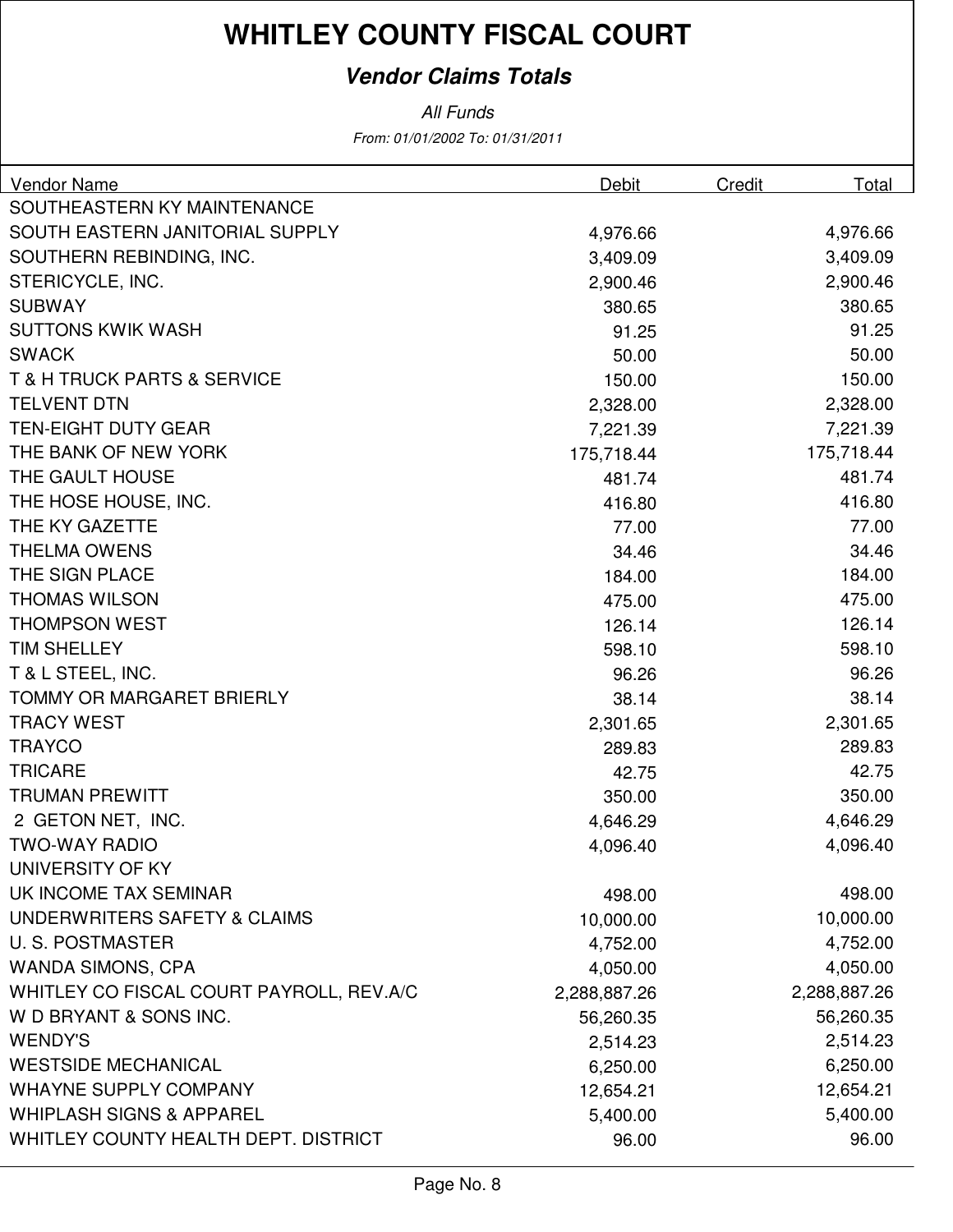### **Vendor Claims Totals**

All Funds

From: 01/01/2002 To: 01/31/2011

| <b>Vendor Name</b>                         | Debit        | Credit | Total        |
|--------------------------------------------|--------------|--------|--------------|
| SOUTHEASTERN KY MAINTENANCE                |              |        |              |
| SOUTH EASTERN JANITORIAL SUPPLY            | 4,976.66     |        | 4,976.66     |
| SOUTHERN REBINDING, INC.                   | 3,409.09     |        | 3,409.09     |
| STERICYCLE, INC.                           | 2,900.46     |        | 2,900.46     |
| <b>SUBWAY</b>                              | 380.65       |        | 380.65       |
| <b>SUTTONS KWIK WASH</b>                   | 91.25        |        | 91.25        |
| <b>SWACK</b>                               | 50.00        |        | 50.00        |
| <b>T &amp; H TRUCK PARTS &amp; SERVICE</b> | 150.00       |        | 150.00       |
| <b>TELVENT DTN</b>                         | 2,328.00     |        | 2,328.00     |
| <b>TEN-EIGHT DUTY GEAR</b>                 | 7,221.39     |        | 7,221.39     |
| THE BANK OF NEW YORK                       | 175,718.44   |        | 175,718.44   |
| THE GAULT HOUSE                            | 481.74       |        | 481.74       |
| THE HOSE HOUSE, INC.                       | 416.80       |        | 416.80       |
| THE KY GAZETTE                             | 77.00        |        | 77.00        |
| <b>THELMA OWENS</b>                        | 34.46        |        | 34.46        |
| THE SIGN PLACE                             | 184.00       |        | 184.00       |
| <b>THOMAS WILSON</b>                       | 475.00       |        | 475.00       |
| <b>THOMPSON WEST</b>                       | 126.14       |        | 126.14       |
| <b>TIM SHELLEY</b>                         | 598.10       |        | 598.10       |
| T & L STEEL, INC.                          | 96.26        |        | 96.26        |
| <b>TOMMY OR MARGARET BRIERLY</b>           | 38.14        |        | 38.14        |
| <b>TRACY WEST</b>                          | 2,301.65     |        | 2,301.65     |
| <b>TRAYCO</b>                              | 289.83       |        | 289.83       |
| <b>TRICARE</b>                             | 42.75        |        | 42.75        |
| <b>TRUMAN PREWITT</b>                      | 350.00       |        | 350.00       |
| 2 GETON NET, INC.                          | 4,646.29     |        | 4,646.29     |
| <b>TWO-WAY RADIO</b>                       | 4,096.40     |        | 4,096.40     |
| UNIVERSITY OF KY                           |              |        |              |
| UK INCOME TAX SEMINAR                      | 498.00       |        | 498.00       |
| UNDERWRITERS SAFETY & CLAIMS               | 10,000.00    |        | 10,000.00    |
| <b>U.S. POSTMASTER</b>                     | 4,752.00     |        | 4,752.00     |
| <b>WANDA SIMONS, CPA</b>                   | 4,050.00     |        | 4,050.00     |
| WHITLEY CO FISCAL COURT PAYROLL, REV.A/C   | 2,288,887.26 |        | 2,288,887.26 |
| W D BRYANT & SONS INC.                     | 56,260.35    |        | 56,260.35    |
| <b>WENDY'S</b>                             | 2,514.23     |        | 2,514.23     |
| <b>WESTSIDE MECHANICAL</b>                 | 6,250.00     |        | 6,250.00     |
| <b>WHAYNE SUPPLY COMPANY</b>               | 12,654.21    |        | 12,654.21    |
| <b>WHIPLASH SIGNS &amp; APPAREL</b>        | 5,400.00     |        | 5,400.00     |
| WHITLEY COUNTY HEALTH DEPT. DISTRICT       | 96.00        |        | 96.00        |